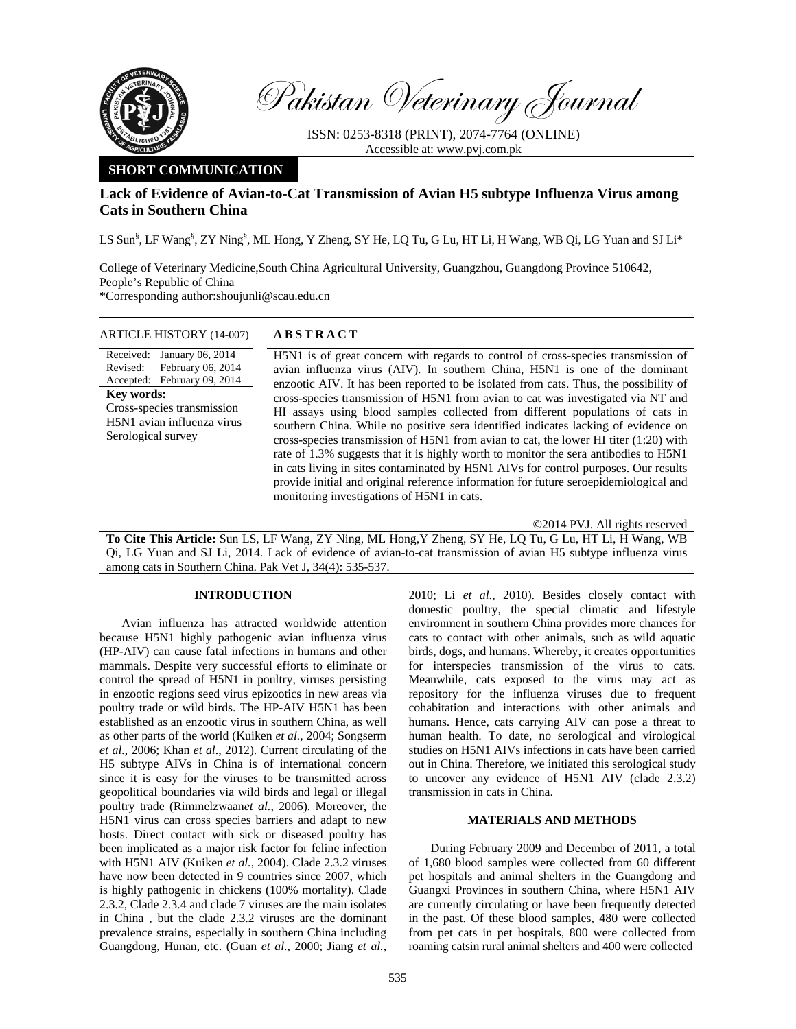

Pakistan Veterinary Journal

ISSN: 0253-8318 (PRINT), 2074-7764 (ONLINE) Accessible at: www.pvj.com.pk

# **SHORT COMMUNICATION**

# **Lack of Evidence of Avian-to-Cat Transmission of Avian H5 subtype Influenza Virus among Cats in Southern China**

LS Sun<sup>§</sup>, LF Wang<sup>§</sup>, ZY Ning<sup>§</sup>, ML Hong, Y Zheng, SY He, LQ Tu, G Lu, HT Li, H Wang, WB Qi, LG Yuan and SJ Li\*

College of Veterinary Medicine,South China Agricultural University, Guangzhou, Guangdong Province 510642, People's Republic of China \*Corresponding author:shoujunli@scau.edu.cn

## ARTICLE HISTORY (14-007) **ABSTRACT**

Received: January 06, 2014 Revised: Accepted: February 09, 2014 February 06, 2014 **Key words:**  Cross-species transmission H5N1 avian influenza virus Serological survey

 H5N1 is of great concern with regards to control of cross-species transmission of avian influenza virus (AIV). In southern China, H5N1 is one of the dominant enzootic AIV. It has been reported to be isolated from cats. Thus, the possibility of cross-species transmission of H5N1 from avian to cat was investigated via NT and HI assays using blood samples collected from different populations of cats in southern China. While no positive sera identified indicates lacking of evidence on cross-species transmission of H5N1 from avian to cat, the lower HI titer (1:20) with rate of 1.3% suggests that it is highly worth to monitor the sera antibodies to H5N1 in cats living in sites contaminated by H5N1 AIVs for control purposes. Our results provide initial and original reference information for future seroepidemiological and monitoring investigations of H5N1 in cats.

©2014 PVJ. All rights reserved

**To Cite This Article:** Sun LS, LF Wang, ZY Ning, ML Hong,Y Zheng, SY He, LQ Tu, G Lu, HT Li, H Wang, WB Qi, LG Yuan and SJ Li, 2014. Lack of evidence of avian-to-cat transmission of avian H5 subtype influenza virus among cats in Southern China. Pak Vet J, 34(4): 535-537.

## **INTRODUCTION**

Avian influenza has attracted worldwide attention because H5N1 highly pathogenic avian influenza virus (HP-AIV) can cause fatal infections in humans and other mammals. Despite very successful efforts to eliminate or control the spread of H5N1 in poultry, viruses persisting in enzootic regions seed virus epizootics in new areas via poultry trade or wild birds. The HP-AIV H5N1 has been established as an enzootic virus in southern China, as well as other parts of the world (Kuiken *et al.*, 2004; Songserm *et al.*, 2006; Khan *et al*., 2012). Current circulating of the H5 subtype AIVs in China is of international concern since it is easy for the viruses to be transmitted across geopolitical boundaries via wild birds and legal or illegal poultry trade (Rimmelzwaan*et al.*, 2006). Moreover, the H5N1 virus can cross species barriers and adapt to new hosts. Direct contact with sick or diseased poultry has been implicated as a major risk factor for feline infection with H5N1 AIV (Kuiken *et al.*, 2004). Clade 2.3.2 viruses have now been detected in 9 countries since 2007, which is highly pathogenic in chickens (100% mortality). Clade 2.3.2, Clade 2.3.4 and clade 7 viruses are the main isolates in China , but the clade 2.3.2 viruses are the dominant prevalence strains, especially in southern China including Guangdong, Hunan, etc. (Guan *et al.*, 2000; Jiang *et al.*,

2010; Li *et al.*, 2010). Besides closely contact with domestic poultry, the special climatic and lifestyle environment in southern China provides more chances for cats to contact with other animals, such as wild aquatic birds, dogs, and humans. Whereby, it creates opportunities for interspecies transmission of the virus to cats. Meanwhile, cats exposed to the virus may act as repository for the influenza viruses due to frequent cohabitation and interactions with other animals and humans. Hence, cats carrying AIV can pose a threat to human health. To date, no serological and virological studies on H5N1 AIVs infections in cats have been carried out in China. Therefore, we initiated this serological study to uncover any evidence of H5N1 AIV (clade 2.3.2) transmission in cats in China.

## **MATERIALS AND METHODS**

During February 2009 and December of 2011, a total of 1,680 blood samples were collected from 60 different pet hospitals and animal shelters in the Guangdong and Guangxi Provinces in southern China, where H5N1 AIV are currently circulating or have been frequently detected in the past. Of these blood samples, 480 were collected from pet cats in pet hospitals, 800 were collected from roaming catsin rural animal shelters and 400 were collected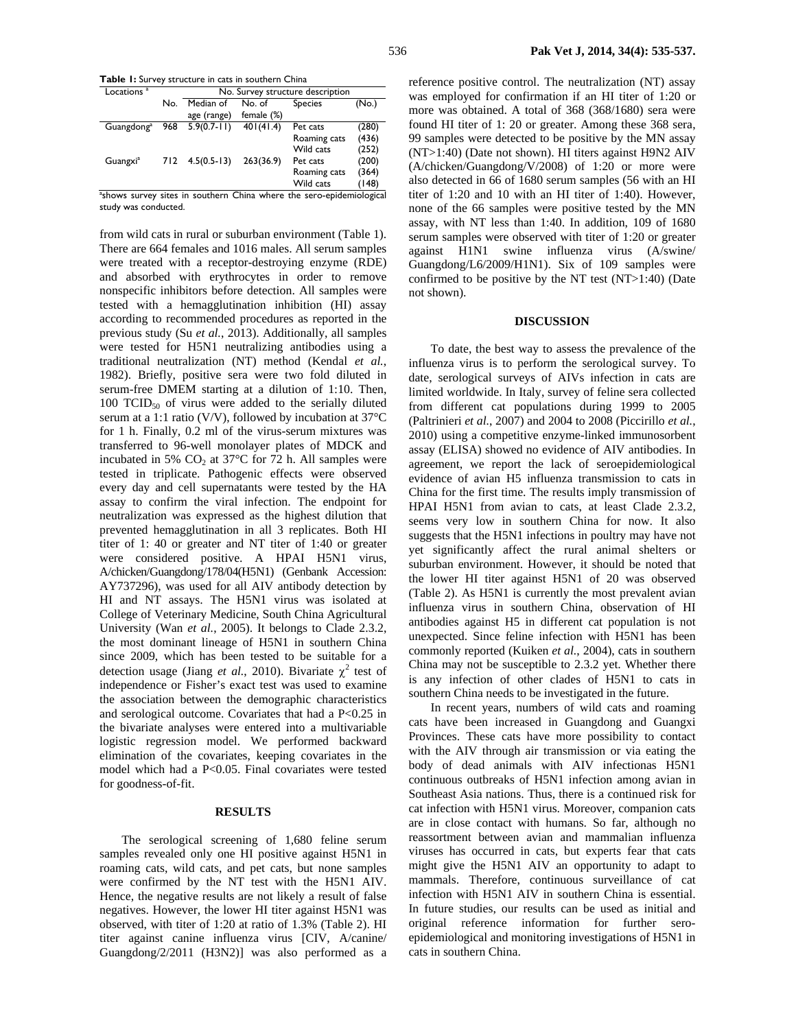**Table 1:** Survey structure in cats in southern China

| Locations <sup>a</sup>                                               |     | No. Survey structure description |            |                |       |  |  |  |  |
|----------------------------------------------------------------------|-----|----------------------------------|------------|----------------|-------|--|--|--|--|
|                                                                      | No. | Median of                        | No. of     | <b>Species</b> | (No.) |  |  |  |  |
|                                                                      |     | age (range)                      | female (%) |                |       |  |  |  |  |
| Guangdong <sup>a</sup>                                               | 968 | $5.9(0.7 - 11)$                  | 401(41.4)  | Pet cats       | (280) |  |  |  |  |
|                                                                      |     |                                  |            | Roaming cats   | (436) |  |  |  |  |
|                                                                      |     |                                  |            | Wild cats      | (252) |  |  |  |  |
| Guangxi <sup>a</sup>                                                 | 712 | $4.5(0.5-13)$                    | 263(36.9)  | Pet cats       | (200) |  |  |  |  |
|                                                                      |     |                                  |            | Roaming cats   | (364) |  |  |  |  |
|                                                                      |     |                                  |            | Wild cats      | (148) |  |  |  |  |
| ashows survey sites in southern China where the sero-epidemiological |     |                                  |            |                |       |  |  |  |  |

study was conducted.

from wild cats in rural or suburban environment (Table 1). There are 664 females and 1016 males. All serum samples were treated with a receptor-destroying enzyme (RDE) and absorbed with erythrocytes in order to remove nonspecific inhibitors before detection. All samples were tested with a hemagglutination inhibition (HI) assay according to recommended procedures as reported in the previous study (Su *et al.*, 2013). Additionally, all samples were tested for H5N1 neutralizing antibodies using a traditional neutralization (NT) method (Kendal *et al.*, 1982). Briefly, positive sera were two fold diluted in serum-free DMEM starting at a dilution of 1:10. Then, 100 TCID<sub>50</sub> of virus were added to the serially diluted serum at a 1:1 ratio (V/V), followed by incubation at 37°C for 1 h. Finally, 0.2 ml of the virus-serum mixtures was transferred to 96-well monolayer plates of MDCK and incubated in 5%  $CO<sub>2</sub>$  at 37 $\degree$ C for 72 h. All samples were tested in triplicate. Pathogenic effects were observed every day and cell supernatants were tested by the HA assay to confirm the viral infection. The endpoint for neutralization was expressed as the highest dilution that prevented hemagglutination in all 3 replicates. Both HI titer of 1: 40 or greater and NT titer of 1:40 or greater were considered positive. A HPAI H5N1 virus, A/chicken/Guangdong/178/04(H5N1) (Genbank Accession: AY737296), was used for all AIV antibody detection by HI and NT assays. The H5N1 virus was isolated at College of Veterinary Medicine, South China Agricultural University (Wan *et al.*, 2005). It belongs to Clade 2.3.2, the most dominant lineage of H5N1 in southern China since 2009, which has been tested to be suitable for a detection usage (Jiang *et al.*, 2010). Bivariate  $\chi^2$  test of independence or Fisher's exact test was used to examine the association between the demographic characteristics and serological outcome. Covariates that had a P<0.25 in the bivariate analyses were entered into a multivariable logistic regression model. We performed backward elimination of the covariates, keeping covariates in the model which had a P<0.05. Final covariates were tested for goodness-of-fit.

## **RESULTS**

The serological screening of 1,680 feline serum samples revealed only one HI positive against H5N1 in roaming cats, wild cats, and pet cats, but none samples were confirmed by the NT test with the H5N1 AIV. Hence, the negative results are not likely a result of false negatives. However, the lower HI titer against H5N1 was observed, with titer of 1:20 at ratio of 1.3% (Table 2). HI titer against canine influenza virus [CIV, A/canine/ Guangdong/2/2011 (H3N2)] was also performed as a

reference positive control. The neutralization (NT) assay was employed for confirmation if an HI titer of 1:20 or more was obtained. A total of 368 (368/1680) sera were found HI titer of 1: 20 or greater. Among these 368 sera, 99 samples were detected to be positive by the MN assay (NT>1:40) (Date not shown). HI titers against H9N2 AIV (A/chicken/Guangdong/V/2008) of 1:20 or more were also detected in 66 of 1680 serum samples (56 with an HI titer of 1:20 and 10 with an HI titer of 1:40). However, none of the 66 samples were positive tested by the MN assay, with NT less than 1:40. In addition, 109 of 1680 serum samples were observed with titer of 1:20 or greater against H1N1 swine influenza virus (A/swine/ Guangdong/L6/2009/H1N1). Six of 109 samples were confirmed to be positive by the NT test (NT>1:40) (Date not shown).

## **DISCUSSION**

To date, the best way to assess the prevalence of the influenza virus is to perform the serological survey. To date, serological surveys of AIVs infection in cats are limited worldwide. In Italy, survey of feline sera collected from different cat populations during 1999 to 2005 (Paltrinieri *et al.*, 2007) and 2004 to 2008 (Piccirillo *et al.*, 2010) using a competitive enzyme-linked immunosorbent assay (ELISA) showed no evidence of AIV antibodies. In agreement, we report the lack of seroepidemiological evidence of avian H5 influenza transmission to cats in China for the first time. The results imply transmission of HPAI H5N1 from avian to cats, at least Clade 2.3.2, seems very low in southern China for now. It also suggests that the H5N1 infections in poultry may have not yet significantly affect the rural animal shelters or suburban environment. However, it should be noted that the lower HI titer against H5N1 of 20 was observed (Table 2). As H5N1 is currently the most prevalent avian influenza virus in southern China, observation of HI antibodies against H5 in different cat population is not unexpected. Since feline infection with H5N1 has been commonly reported (Kuiken *et al.*, 2004), cats in southern China may not be susceptible to 2.3.2 yet. Whether there is any infection of other clades of H5N1 to cats in southern China needs to be investigated in the future.

In recent years, numbers of wild cats and roaming cats have been increased in Guangdong and Guangxi Provinces. These cats have more possibility to contact with the AIV through air transmission or via eating the body of dead animals with AIV infectionas H5N1 continuous outbreaks of H5N1 infection among avian in Southeast Asia nations. Thus, there is a continued risk for cat infection with H5N1 virus. Moreover, companion cats are in close contact with humans. So far, although no reassortment between avian and mammalian influenza viruses has occurred in cats, but experts fear that cats might give the H5N1 AIV an opportunity to adapt to mammals. Therefore, continuous surveillance of cat infection with H5N1 AIV in southern China is essential. In future studies, our results can be used as initial and original reference information for further seroepidemiological and monitoring investigations of H5N1 in cats in southern China.